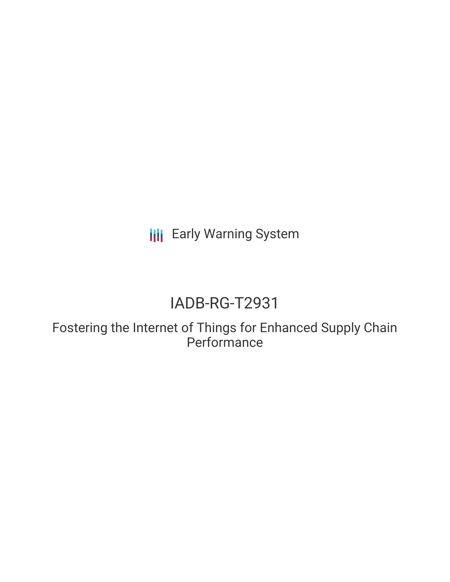**III** Early Warning System

# IADB-RG-T2931

Fostering the Internet of Things for Enhanced Supply Chain **Performance**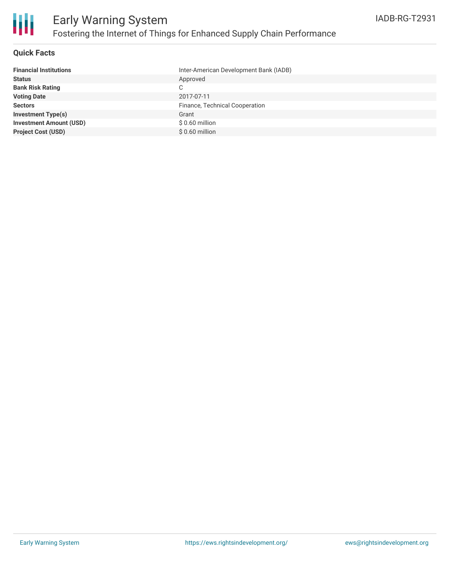

#### **Quick Facts**

| <b>Financial Institutions</b>  | Inter-American Development Bank (IADB) |
|--------------------------------|----------------------------------------|
| <b>Status</b>                  | Approved                               |
| <b>Bank Risk Rating</b>        | C.                                     |
| <b>Voting Date</b>             | 2017-07-11                             |
| <b>Sectors</b>                 | Finance, Technical Cooperation         |
| <b>Investment Type(s)</b>      | Grant                                  |
| <b>Investment Amount (USD)</b> | $$0.60$ million                        |
| <b>Project Cost (USD)</b>      | $$0.60$ million                        |
|                                |                                        |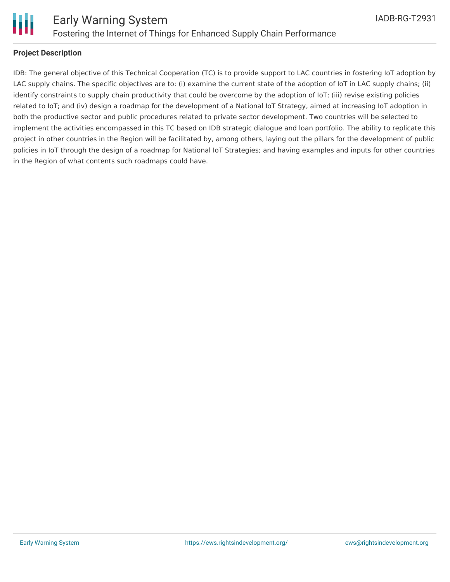

### **Project Description**

IDB: The general objective of this Technical Cooperation (TC) is to provide support to LAC countries in fostering IoT adoption by LAC supply chains. The specific objectives are to: (i) examine the current state of the adoption of IoT in LAC supply chains; (ii) identify constraints to supply chain productivity that could be overcome by the adoption of IoT; (iii) revise existing policies related to IoT; and (iv) design a roadmap for the development of a National IoT Strategy, aimed at increasing IoT adoption in both the productive sector and public procedures related to private sector development. Two countries will be selected to implement the activities encompassed in this TC based on IDB strategic dialogue and loan portfolio. The ability to replicate this project in other countries in the Region will be facilitated by, among others, laying out the pillars for the development of public policies in IoT through the design of a roadmap for National IoT Strategies; and having examples and inputs for other countries in the Region of what contents such roadmaps could have.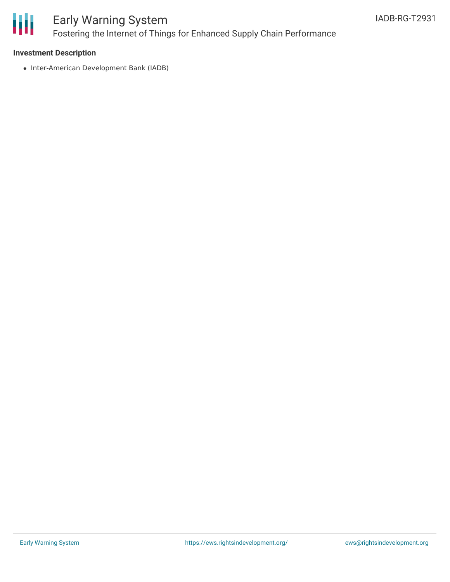

## Early Warning System Fostering the Internet of Things for Enhanced Supply Chain Performance

#### **Investment Description**

• Inter-American Development Bank (IADB)